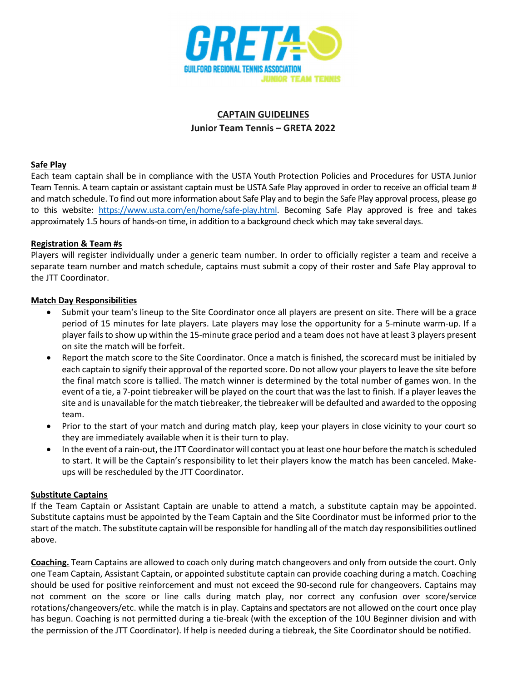

# CAPTAIN GUIDELINES Junior Team Tennis – GRETA 2022

#### Safe Play

Each team captain shall be in compliance with the USTA Youth Protection Policies and Procedures for USTA Junior Team Tennis. A team captain or assistant captain must be USTA Safe Play approved in order to receive an official team # and match schedule. To find out more information about Safe Play and to begin the Safe Play approval process, please go to this website: https://www.usta.com/en/home/safe-play.html. Becoming Safe Play approved is free and takes approximately 1.5 hours of hands-on time, in addition to a background check which may take several days.

## Registration & Team #s

Players will register individually under a generic team number. In order to officially register a team and receive a separate team number and match schedule, captains must submit a copy of their roster and Safe Play approval to the JTT Coordinator.

## Match Day Responsibilities

- Submit your team's lineup to the Site Coordinator once all players are present on site. There will be a grace period of 15 minutes for late players. Late players may lose the opportunity for a 5-minute warm-up. If a player fails to show up within the 15-minute grace period and a team does not have at least 3 players present on site the match will be forfeit.
- Report the match score to the Site Coordinator. Once a match is finished, the scorecard must be initialed by each captain to signify their approval of the reported score. Do not allow your players to leave the site before the final match score is tallied. The match winner is determined by the total number of games won. In the event of a tie, a 7-point tiebreaker will be played on the court that was the last to finish. If a player leaves the site and is unavailable for the match tiebreaker, the tiebreaker will be defaulted and awarded to the opposing team.
- Prior to the start of your match and during match play, keep your players in close vicinity to your court so they are immediately available when it is their turn to play.
- In the event of a rain-out, the JTT Coordinator will contact you at least one hour before the match is scheduled to start. It will be the Captain's responsibility to let their players know the match has been canceled. Makeups will be rescheduled by the JTT Coordinator.

#### Substitute Captains

If the Team Captain or Assistant Captain are unable to attend a match, a substitute captain may be appointed. Substitute captains must be appointed by the Team Captain and the Site Coordinator must be informed prior to the start of the match. The substitute captain will be responsible for handling all of the match day responsibilities outlined above.

Coaching. Team Captains are allowed to coach only during match changeovers and only from outside the court. Only one Team Captain, Assistant Captain, or appointed substitute captain can provide coaching during a match. Coaching should be used for positive reinforcement and must not exceed the 90-second rule for changeovers. Captains may not comment on the score or line calls during match play, nor correct any confusion over score/service rotations/changeovers/etc. while the match is in play. Captains and spectators are not allowed on the court once play has begun. Coaching is not permitted during a tie-break (with the exception of the 10U Beginner division and with the permission of the JTT Coordinator). If help is needed during a tiebreak, the Site Coordinator should be notified.